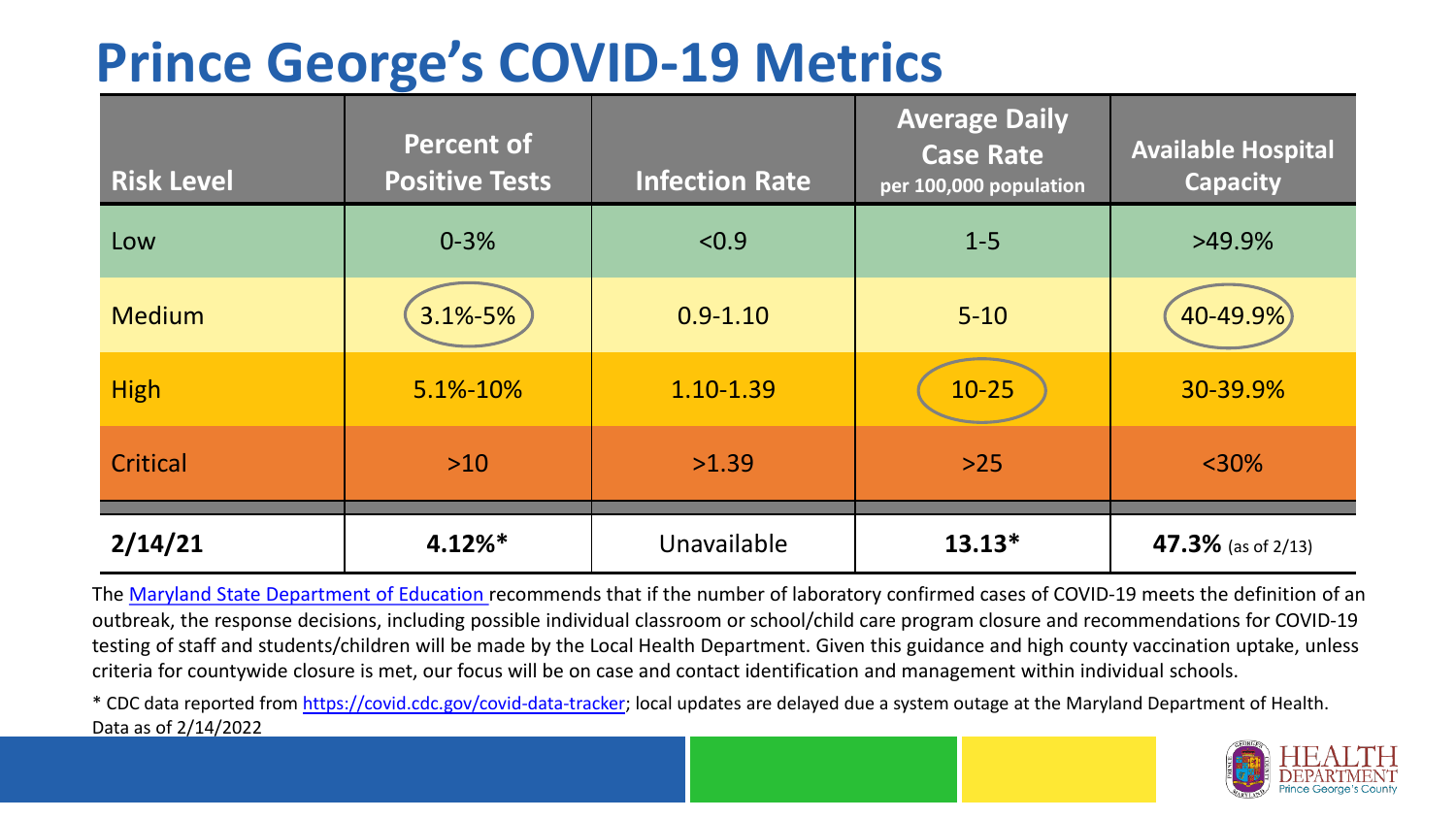## **Prince George's COVID-19 Metrics**

| <b>Risk Level</b> | <b>Percent of</b><br><b>Positive Tests</b> | <b>Infection Rate</b> | <b>Average Daily</b><br><b>Case Rate</b><br>per 100,000 population | <b>Available Hospital</b><br><b>Capacity</b> |
|-------------------|--------------------------------------------|-----------------------|--------------------------------------------------------------------|----------------------------------------------|
| Low               | $0 - 3%$                                   | < 0.9                 | $1 - 5$                                                            | $>49.9\%$                                    |
| <b>Medium</b>     | 3.1%-5%                                    | $0.9 - 1.10$          | $5 - 10$                                                           | 40-49.9%                                     |
| <b>High</b>       | 5.1%-10%                                   | 1.10-1.39             | $10 - 25$                                                          | 30-39.9%                                     |
| Critical          | $>10$                                      | >1.39                 | $>25$                                                              | $<$ 30%                                      |
| 2/14/21           | $4.12\%*$                                  | Unavailable           | $13.13*$                                                           | 47.3% (as of 2/13)                           |

The [Maryland State Department of Education](https://earlychildhood.marylandpublicschools.org/system/files/filedepot/3/covid_guidance_full_080420.pdf) recommends that if the number of laboratory confirmed cases of COVID-19 meets the definition of an outbreak, the response decisions, including possible individual classroom or school/child care program closure and recommendations for COVID-19 testing of staff and students/children will be made by the Local Health Department. Given this guidance and high county vaccination uptake, unless criteria for countywide closure is met, our focus will be on case and contact identification and management within individual schools.

\* CDC data reported from <https://covid.cdc.gov/covid-data-tracker>; local updates are delayed due a system outage at the Maryland Department of Health. Data as of 2/14/2022

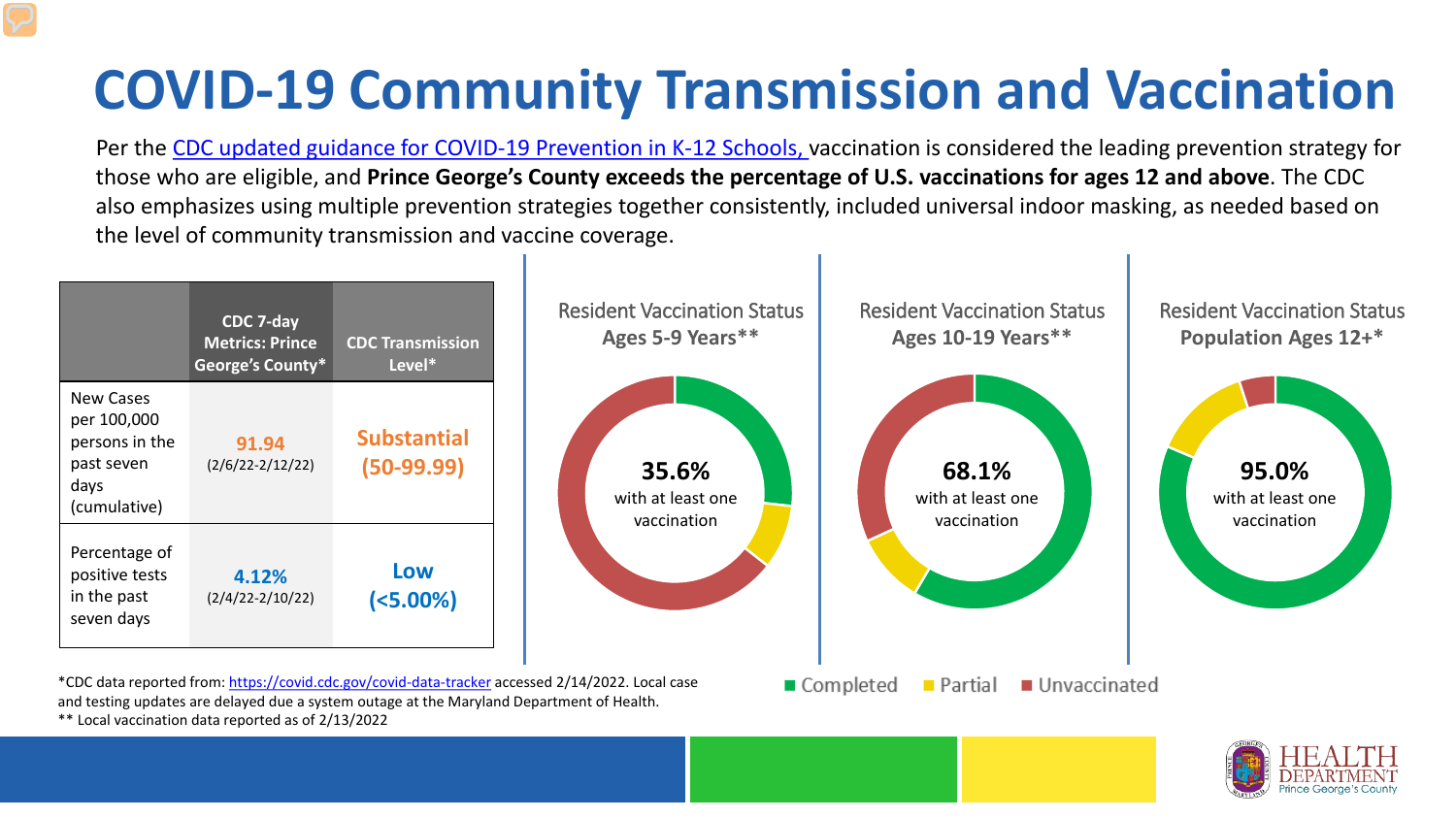## **COVID-19 Community Transmission and Vaccination**

Per the [CDC updated guidance for COVID-19 Prevention in K-12 Schools,](https://www.cdc.gov/coronavirus/2019-ncov/community/schools-childcare/k-12-guidance.html) vaccination is considered the leading prevention strategy for those who are eligible, and **Prince George's County exceeds the percentage of U.S. vaccinations for ages 12 and above**. The CDC also emphasizes using multiple prevention strategies together consistently, included universal indoor masking, as needed based on the level of community transmission and vaccine coverage.



\*\* Local vaccination data reported as of 2/13/2022